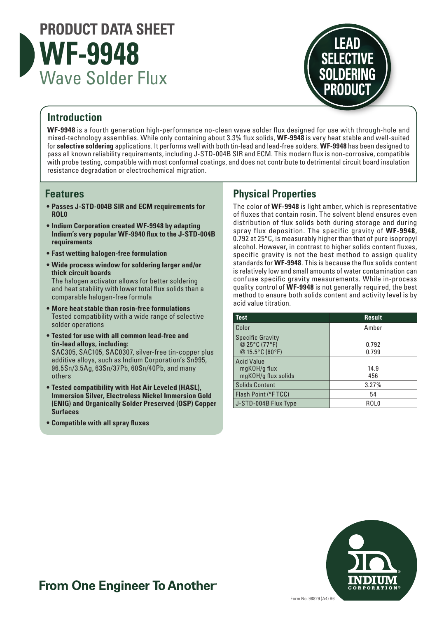



### **Introduction**

**WF-9948** is a fourth generation high-performance no-clean wave solder flux designed for use with through-hole and mixed-technology assemblies. While only containing about 3.3% flux solids, **WF-9948** is very heat stable and well-suited for **selective soldering** applications. It performs well with both tin-lead and lead-free solders. **WF-9948** has been designed to pass all known reliability requirements, including J-STD-004B SIR and ECM. This modern flux is non-corrosive, compatible with probe testing, compatible with most conformal coatings, and does not contribute to detrimental circuit board insulation resistance degradation or electrochemical migration.

#### **Features**

- **• Passes J-STD-004B SIR and ECM requirements for ROL0**
- **• Indium Corporation created WF-9948 by adapting Indium's very popular WF-9940 flux to the J-STD-004B requirements**
- **• Fast wetting halogen-free formulation**
- **• Wide process window for soldering larger and/or thick circuit boards** The halogen activator allows for better soldering and heat stability with lower total flux solids than a comparable halogen-free formula
- **• More heat stable than rosin-free formulations** Tested compatibility with a wide range of selective solder operations
- **• Tested for use with all common lead-free and tin-lead alloys, including:**  SAC305, SAC105, SAC0307, silver-free tin-copper plus additive alloys, such as Indium Corporation's Sn995, 96.5Sn/3.5Ag, 63Sn/37Pb, 60Sn/40Pb, and many others
- **• Tested compatibility with Hot Air Leveled (HASL), Immersion Silver, Electroless Nickel Immersion Gold (ENIG) and Organically Solder Preserved (OSP) Copper Surfaces**
- **• Compatible with all spray fluxes**

## **Physical Properties**

The color of **WF-9948** is light amber, which is representative of fluxes that contain rosin. The solvent blend ensures even distribution of flux solids both during storage and during spray flux deposition. The specific gravity of **WF-9948**, 0.792 at 25°C, is measurably higher than that of pure isopropyl alcohol. However, in contrast to higher solids content fluxes, specific gravity is not the best method to assign quality standards for **WF-9948**. This is because the flux solids content is relatively low and small amounts of water contamination can confuse specific gravity measurements. While in-process quality control of **WF-9948** is not generally required, the best method to ensure both solids content and activity level is by acid value titration.

| <b>Test</b>                                                 | <b>Result</b>    |
|-------------------------------------------------------------|------------------|
| Color                                                       | Amber            |
| <b>Specific Gravity</b><br>@ 25°C (77°F)<br>@ 15.5°C (60°F) | 0.792<br>0.799   |
| <b>Acid Value</b><br>mgKOH/g flux<br>mgKOH/g flux solids    | 14.9<br>456      |
| <b>Solids Content</b>                                       | 3.27%            |
| Flash Point (°FTCC)                                         | 54               |
| J-STD-004B Flux Type                                        | ROL <sub>0</sub> |



# **From One Engineer To Another**®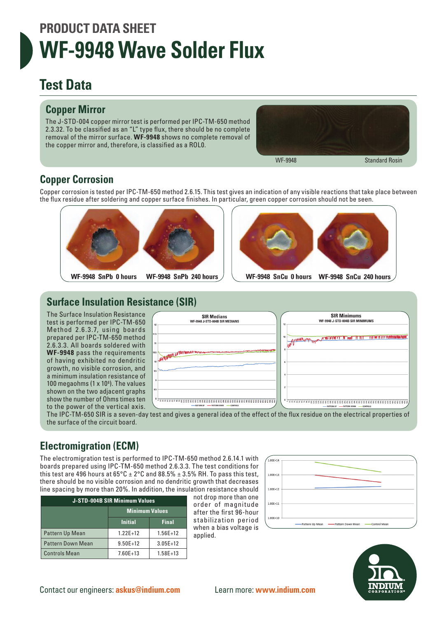# **PRODUCT DATA SHEET WF-9948 Wave Solder Flux**

# **Test Data**

## **Copper Mirror**

The J-STD-004 copper mirror test is performed per IPC-TM-650 method 2.3.32. To be classified as an "L" type flux, there should be no complete removal of the mirror surface. **WF-9948** shows no complete removal of the copper mirror and, therefore, is classified as a ROL0.



# **Copper Corrosion**

Copper corrosion is tested per IPC-TM-650 method 2.6.15. This test gives an indication of any visible reactions that take place between the flux residue after soldering and copper surface finishes. In particular, green copper corrosion should not be seen.





# **Surface Insulation Resistance (SIR)**

The Surface Insulation Resistance test is performed per IPC-TM-650 Method 2.6.3.7, using boards prepared per IPC-TM-650 method 2.6.3.3. All boards soldered with **WF-9948** pass the requirements of having exhibited no dendritic growth, no visible corrosion, and a minimum insulation resistance of 100 megaohms (1  $\times$  10<sup>8</sup>). The values shown on the two adjacent graphs show the number of Ohms times ten to the power of the vertical axis.



The IPC-TM-650 SIR is a seven-day test and gives a general idea of the effect of the flux residue on the electrical properties of the surface of the circuit board.

# **Electromigration (ECM)**

The electromigration test is performed to IPC-TM-650 method 2.6.14.1 with boards prepared using IPC-TM-650 method 2.6.3.3. The test conditions for this test are 496 hours at  $65^{\circ}$ C  $\pm$  2°C and 88.5%  $\pm$  3.5% RH. To pass this test, there should be no visible corrosion and no dendritic growth that decreases line spacing by more than 20%. In addition, the insulation resistance should

| <b>J-STD-004B SIR Minimum Values</b> |                       |              |  |  |
|--------------------------------------|-----------------------|--------------|--|--|
|                                      | <b>Minimum Values</b> |              |  |  |
|                                      | <b>Initial</b>        | <b>Final</b> |  |  |
| Pattern Up Mean                      | $1.22E+12$            | $1.56E+12$   |  |  |
| <b>Pattern Down Mean</b>             | $9.50E + 12$          | $3.05E+12$   |  |  |
| <b>Controls Mean</b>                 | $7.60E+13$            | $1.58E + 13$ |  |  |

not drop more than one order of magnitude after the first 96-hour stabilization period when a bias voltage is applied.



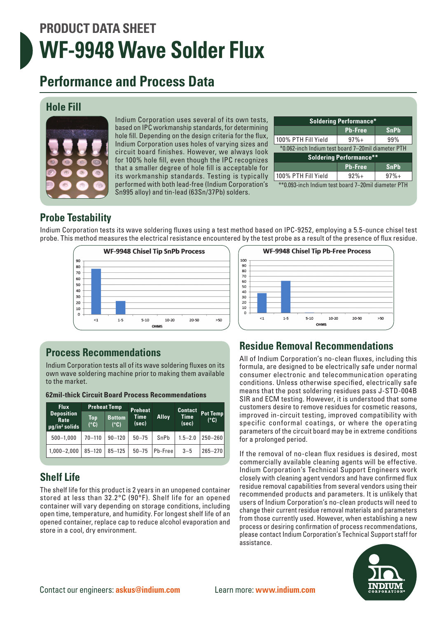# **PRODUCT DATA SHEET WF-9948 Wave Solder Flux**

# **Performance and Process Data**

#### **Hole Fill**



Indium Corporation uses several of its own tests, based on IPC workmanship standards, for determining hole fill. Depending on the design criteria for the flux, Indium Corporation uses holes of varying sizes and circuit board finishes. However, we always look for 100% hole fill, even though the IPC recognizes that a smaller degree of hole fill is acceptable for its workmanship standards. Testing is typically performed with both lead-free (Indium Corporation's Sn995 alloy) and tin-lead (63Sn/37Pb) solders.

| <b>Soldering Performance*</b>                      |                |             |  |  |  |
|----------------------------------------------------|----------------|-------------|--|--|--|
|                                                    | <b>Pb-Free</b> | <b>SnPb</b> |  |  |  |
| 100% PTH Fill Yield                                | $97%+$         | 99%         |  |  |  |
| *0.062-inch Indium test board 7-20mil diameter PTH |                |             |  |  |  |
| <b>Soldering Performance**</b>                     |                |             |  |  |  |
|                                                    | <b>Pb-Free</b> | <b>SnPb</b> |  |  |  |
| 100% PTH Fill Yield                                | $92%+$         | $97%+$      |  |  |  |
| <b>**^ ^^^ '</b> L. L. P.   L.  L. 7   1    DTH    |                |             |  |  |  |

\*\*0.093-inch Indium test board 7–20mil diameter PTH

# **Probe Testability**

Indium Corporation tests its wave soldering fluxes using a test method based on IPC-9252, employing a 5.5-ounce chisel test probe. This method measures the electrical resistance encountered by the test probe as a result of the presence of flux residue.



# **Process Recommendations**

Indium Corporation tests all of its wave soldering fluxes on its own wave soldering machine prior to making them available to the market.

| <b>Flux</b>                                                 |             | <b>Preheat Temp</b>   | <b>Preheat</b> |                | <b>Contact</b>       |                  |
|-------------------------------------------------------------|-------------|-----------------------|----------------|----------------|----------------------|------------------|
| <b>Deposition</b><br>Rate<br>$\mu$ g/in <sup>2</sup> solids | Top<br>(°C) | <b>Bottom</b><br>(°C) | Time<br>(sec)  | <b>Alloy</b>   | <b>Time</b><br>(sec) | Pot Temp<br>(°C) |
| $500 - 1,000$                                               | $70 - 110$  | $90 - 120$            | $50 - 75$      | SnPb           | $1.5 - 2.0$          | $250 - 260$      |
| $1,000 - 2,000$                                             | $85 - 120$  | $85 - 125$            | $50 - 75$      | <b>Pb-Free</b> | $3 - 5$              | $265 - 270$      |

**62mil-thick Circuit Board Process Recommendations**

# **Shelf Life**

The shelf life for this product is 2 years in an unopened container stored at less than 32.2°C (90°F). Shelf life for an opened container will vary depending on storage conditions, including open time, temperature, and humidity. For longest shelf life of an opened container, replace cap to reduce alcohol evaporation and store in a cool, dry environment.



## **Residue Removal Recommendations**

All of Indium Corporation's no-clean fluxes, including this formula, are designed to be electrically safe under normal consumer electronic and telecommunication operating conditions. Unless otherwise specified, electrically safe means that the post soldering residues pass J-STD-004B SIR and ECM testing. However, it is understood that some customers desire to remove residues for cosmetic reasons, improved in-circuit testing, improved compatibility with specific conformal coatings, or where the operating parameters of the circuit board may be in extreme conditions for a prolonged period.

If the removal of no-clean flux residues is desired, most commercially available cleaning agents will be effective. Indium Corporation's Technical Support Engineers work closely with cleaning agent vendors and have confirmed flux residue removal capabilities from several vendors using their recommended products and parameters. It is unlikely that users of Indium Corporation's no-clean products will need to change their current residue removal materials and parameters from those currently used. However, when establishing a new process or desiring confirmation of process recommendations, please contact Indium Corporation's Technical Support staff for assistance.